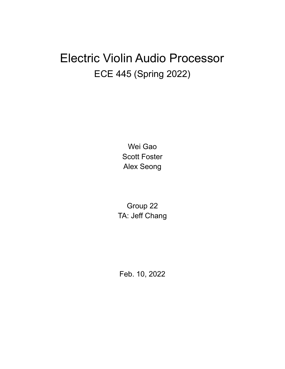# Electric Violin Audio Processor ECE 445 (Spring 2022)

Wei Gao Scott Foster Alex Seong

Group 22 TA: Jeff Chang

Feb. 10, 2022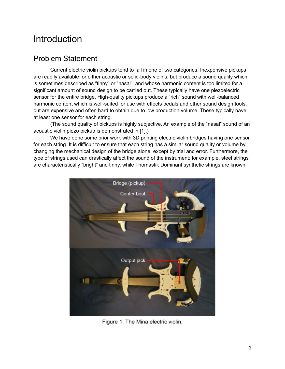## **Introduction**

### Problem Statement

Current electric violin pickups tend to fall in one of two categories. Inexpensive pickups are readily available for either acoustic or solid-body violins, but produce a sound quality which is sometimes described as "tinny" or "nasal", and whose harmonic content is too limited for a significant amount of sound design to be carried out. These typically have one piezoelectric sensor for the entire bridge. High-quality pickups produce a "rich" sound with well-balanced harmonic content which is well-suited for use with effects pedals and other sound design tools, but are expensive and often hard to obtain due to low production volume. These typically have at least one sensor for each string.

(The sound quality of pickups is highly subjective. An example of the "nasal" sound of an acoustic violin piezo pickup is demonstrated in [1].)

We have done some prior work with 3D printing electric violin bridges having one sensor for each string. It is difficult to ensure that each string has a similar sound quality or volume by changing the mechanical design of the bridge alone, except by trial and error. Furthermore, the type of strings used can drastically affect the sound of the instrument; for example, steel strings are characteristically "bright" and tinny, while Thomastik Dominant synthetic strings are known



Figure 1. The Mina electric violin.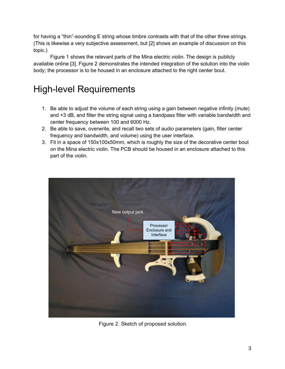for having a "thin"-sounding E string whose timbre contrasts with that of the other three strings. (This is likewise a very subjective assessment, but [2] shows an example of discussion on this topic.)

Figure 1 shows the relevant parts of the Mina electric violin. The design is publicly available online [3]. Figure 2 demonstrates the intended integration of the solution into the violin body; the processor is to be housed in an enclosure attached to the right center bout.

## High-level Requirements

- 1. Be able to adjust the volume of each string using a gain between negative infinity (mute) and +3 dB, and filter the string signal using a bandpass filter with variable bandwidth and center frequency between 100 and 6000 Hz.
- 2. Be able to save, overwrite, and recall two sets of audio parameters (gain, filter center frequency and bandwidth, and volume) using the user interface.
- 3. Fit in a space of 150x100x50mm, which is roughly the size of the decorative center bout on the Mina electric violin. The PCB should be housed in an enclosure attached to this part of the violin.



Figure 2. Sketch of proposed solution.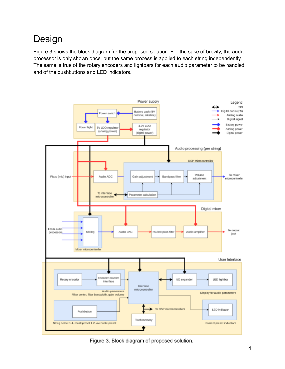## Design

Figure 3 shows the block diagram for the proposed solution. For the sake of brevity, the audio processor is only shown once, but the same process is applied to each string independently. The same is true of the rotary encoders and lightbars for each audio parameter to be handled, and of the pushbuttons and LED indicators.



Figure 3. Block diagram of proposed solution.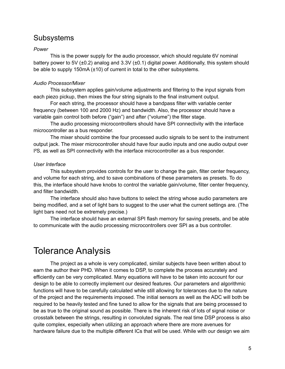### Subsystems

#### *Power*

This is the power supply for the audio processor, which should regulate 6V nominal battery power to 5V ( $\pm$ 0.2) analog and 3.3V ( $\pm$ 0.1) digital power. Additionally, this system should be able to supply 150mA (±10) of current in total to the other subsystems.

#### *Audio Processor/Mixer*

This subsystem applies gain/volume adjustments and filtering to the input signals from each piezo pickup, then mixes the four string signals to the final instrument output.

For each string, the processor should have a bandpass filter with variable center frequency (between 100 and 2000 Hz) and bandwidth. Also, the processor should have a variable gain control both before ("gain") and after ("volume") the filter stage.

The audio processing microcontrollers should have SPI connectivity with the interface microcontroller as a bus responder.

The mixer should combine the four processed audio signals to be sent to the instrument output jack. The mixer microcontroller should have four audio inputs and one audio output over I²S, as well as SPI connectivity with the interface microcontroller as a bus responder.

#### *User Interface*

This subsystem provides controls for the user to change the gain, filter center frequency, and volume for each string, and to save combinations of these parameters as presets. To do this, the interface should have knobs to control the variable gain/volume, filter center frequency, and filter bandwidth.

The interface should also have buttons to select the string whose audio parameters are being modified, and a set of light bars to suggest to the user what the current settings are. (The light bars need not be extremely precise.)

The interface should have an external SPI flash memory for saving presets, and be able to communicate with the audio processing microcontrollers over SPI as a bus controller.

### Tolerance Analysis

The project as a whole is very complicated, similar subjects have been written about to earn the author their PHD. When it comes to DSP, to complete the process accurately and efficiently can be very complicated. Many equations will have to be taken into account for our design to be able to correctly implement our desired features. Our parameters and algorithmic functions will have to be carefully calculated while still allowing for tolerances due to the nature of the project and the requirements imposed. The initial sensors as well as the ADC will both be required to be heavily tested and fine tuned to allow for the signals that are being processed to be as true to the original sound as possible. There is the inherent risk of lots of signal noise or crosstalk between the strings, resulting in convoluted signals. The real time DSP process is also quite complex, especially when utilizing an approach where there are more avenues for hardware failure due to the multiple different ICs that will be used. While with our design we aim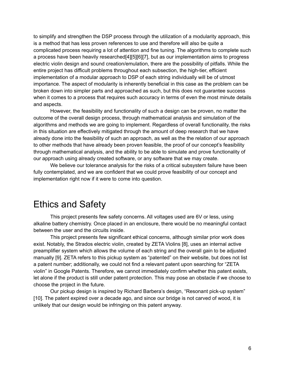to simplify and strengthen the DSP process through the utilization of a modularity approach, this is a method that has less proven references to use and therefore will also be quite a complicated process requiring a lot of attention and fine tuning. The algorithms to complete such a process have been heavily researched[4][5][6][7], but as our implementation aims to progress electric violin design and sound creation/emulation, there are the possibility of pitfalls. While the entire project has difficult problems throughout each subsection, the high-tier, efficient implementation of a modular approach to DSP of each string individually will be of utmost importance. The aspect of modularity is inherently beneficial in this case as the problem can be broken down into simpler parts and approached as such, but this does not guarantee success when it comes to a process that requires such accuracy in terms of even the most minute details and aspects.

However, the feasibility and functionality of such a design can be proven, no matter the outcome of the overall design process, through mathematical analysis and simulation of the algorithms and methods we are going to implement. Regardless of overall functionality, the risks in this situation are effectively mitigated through the amount of deep research that we have already done into the feasibility of such an approach, as well as the the relation of our approach to other methods that have already been proven feasible, the proof of our concept's feasibility through mathematical analysis, and the ability to be able to simulate and prove functionality of our approach using already created software, or any software that we may create.

We believe our tolerance analysis for the risks of a critical subsystem failure have been fully contemplated, and we are confident that we could prove feasibility of our concept and implementation right now if it were to come into question.

### Ethics and Safety

This project presents few safety concerns. All voltages used are 6V or less, using alkaline battery chemistry. Once placed in an enclosure, there would be no meaningful contact between the user and the circuits inside.

This project presents few significant ethical concerns, although similar prior work does exist. Notably, the Strados electric violin, created by ZETA Violins [8], uses an internal active preamplifier system which allows the volume of each string and the overall gain to be adjusted manually [9]. ZETA refers to this pickup system as "patented" on their website, but does not list a patent number; additionally, we could not find a relevant patent upon searching for "ZETA violin" in Google Patents. Therefore, we cannot immediately confirm whether this patent exists, let alone if the product is still under patent protection. This may pose an obstacle if we choose to choose the project in the future.

Our pickup design is inspired by Richard Barbera's design, "Resonant pick-up system" [10]. The patent expired over a decade ago, and since our bridge is not carved of wood, it is unlikely that our design would be infringing on this patent anyway.